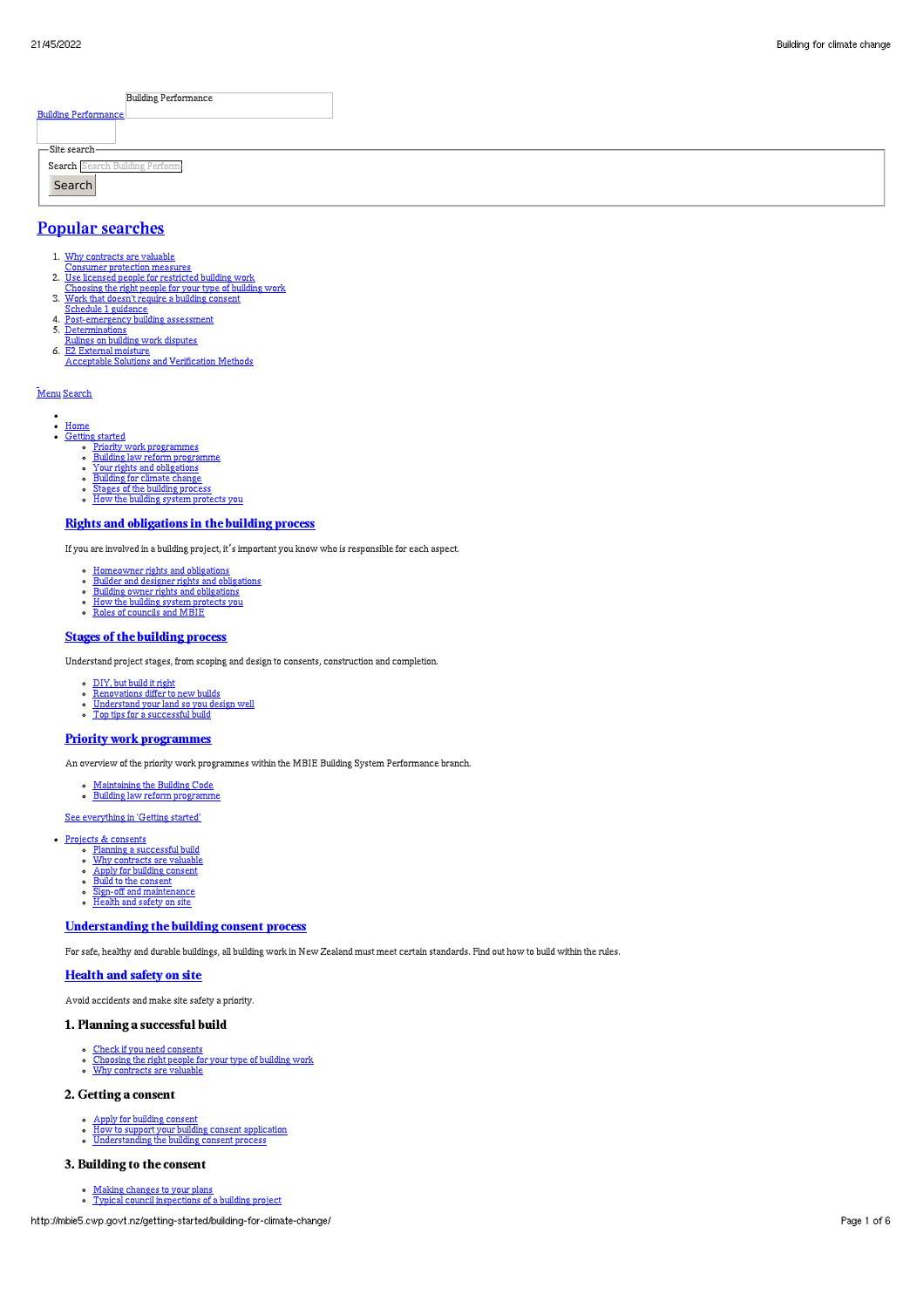|                                | <b>Building Performance</b> |
|--------------------------------|-----------------------------|
| <b>Building Performance</b>    |                             |
|                                |                             |
| <b>-Site search</b>            |                             |
| Search Search Building Perform |                             |
| Search                         |                             |
|                                |                             |

# Popular [searches](http://mbie5.cwp.govt.nz/#)

- 1. Why contracts are valuable
- 
- Consumer protection measures<br>2. <u>Use licensed people for restricted building work</u><br>Choosing the right people for your type of building work<br>3. Work that doesn't require a building consent
- 
- Schedule 1 guidance 4. Post-emergency building assessment
- 
- 5. <u>Determinations</u><br>R<u>ulings on building work disputes</u><br>6. <u>E2 External moisture</u><br><u>Acceptable Solutions and Verification Methods</u>
- 

# [Menu](http://mbie5.cwp.govt.nz/#) [Search](http://mbie5.cwp.govt.nz/#)

- 
- <u>[Home](http://mbie5.cwp.govt.nz/)</u><br>[Getting](http://mbie5.cwp.govt.nz/getting-started/) started
	- Priority work [programmes](http://mbie5.cwp.govt.nz/getting-started/priority-work-programmes/) Building law reform [programme](http://mbie5.cwp.govt.nz/getting-started/building-law-reforms/) Your rights and [obligations](http://mbie5.cwp.govt.nz/getting-started/your-rights-and-obligations/)
	-
	- [Building](http://mbie5.cwp.govt.nz/getting-started/building-for-climate-change/) for climate change Stages of the [building](http://mbie5.cwp.govt.nz/getting-started/stages-of-the-building-process/) process
	- How the building system [protects](http://mbie5.cwp.govt.nz/getting-started/how-the-building-system-protects-you/) you
	-

## Rights and [obligations](http://mbie5.cwp.govt.nz/getting-started/your-rights-and-obligations/) in the building process

If you are involved in a building project, it's important you know who is responsible for each aspect.

- 
- [Homeowner](http://mbie5.cwp.govt.nz/getting-started/your-rights-and-obligations/homeowner-rights-and-obligations/) rights and obligations Builder and designer rights and [obligations](http://mbie5.cwp.govt.nz/getting-started/your-rights-and-obligations/builder-and-designer-rights-and-obligations/) Building owner rights and [obligations](http://mbie5.cwp.govt.nz/getting-started/your-rights-and-obligations/building-owner-rights-and-obligations/) How the building system [protects](http://mbie5.cwp.govt.nz/getting-started/how-the-building-system-protects-you/) you Roles of [councils](http://mbie5.cwp.govt.nz/getting-started/how-the-building-system-protects-you/roles-of-councils-and-mbie/) and MBIE
- 
- 

# Stages of the [building](http://mbie5.cwp.govt.nz/getting-started/stages-of-the-building-process/) process

Understand project stages, from scoping and design to consents, construction and completion.

- [DIY,](http://mbie5.cwp.govt.nz/getting-started/stages-of-the-building-process/diy-but-build-it-right/) but build it right
- **Brit, but build it right**
- [Understand](http://mbie5.cwp.govt.nz/getting-started/stages-of-the-building-process/understand-your-land/) your land so you design well Top tips for a [successful](http://mbie5.cwp.govt.nz/getting-started/stages-of-the-building-process/top-tips-for-building/) build

#### Priority work [programmes](http://mbie5.cwp.govt.nz/getting-started/priority-work-programmes/)

An overview of the priority work programmes within the MBIE Building System Performance branch.

- [Maintaining](http://mbie5.cwp.govt.nz/building-code-compliance/annual-building-code-updates/) the Building Code Building law reform [programme](http://mbie5.cwp.govt.nz/getting-started/building-law-reforms/)
- 
- See [everything](http://mbie5.cwp.govt.nz/getting-started/) in 'Getting started'

#### Projects & [consents](http://mbie5.cwp.govt.nz/projects-and-consents/)

- 
- Planning a [successful](http://mbie5.cwp.govt.nz/projects-and-consents/planning-a-successful-build/) build Why [contracts](http://mbie5.cwp.govt.nz/projects-and-consents/why-contracts-are-valuable/) are valuable
- Apply for [building](http://mbie5.cwp.govt.nz/projects-and-consents/apply-for-building-consent/) consent Build to the [consent](http://mbie5.cwp.govt.nz/projects-and-consents/build-to-the-consent/)
- Sign-off and [maintenance](http://mbie5.cwp.govt.nz/projects-and-consents/sign-off-and-maintenance/)
- [Health](http://mbie5.cwp.govt.nz/projects-and-consents/health-and-safety-on-site/) and safety on site

# [Understanding](http://mbie5.cwp.govt.nz/projects-and-consents/apply-for-building-consent/building-consent-process/) the building consent process

For safe, healthy and durable buildings, all building work in New Zealand must meet certain standards. Find out how to build within the rules.

#### [Health](http://mbie5.cwp.govt.nz/projects-and-consents/health-and-safety-on-site/) and safety on site

Avoid accidents and make site safety a priority.

#### 1. Planning a successful build

- 
- Check if you need [consents](http://mbie5.cwp.govt.nz/projects-and-consents/planning-a-successful-build/scope-and-design/check-if-you-need-consents/)<br>[Choosing](http://mbie5.cwp.govt.nz/projects-and-consents/planning-a-successful-build/scope-and-design/choosing-the-right-people-for-your-type-of-building-work/) the right people for your type of building work<br>Why [contracts](http://mbie5.cwp.govt.nz/projects-and-consents/why-contracts-are-valuable/) are valuable
- 

## 2. Getting a consent

- 
- Apply for [building](http://mbie5.cwp.govt.nz/projects-and-consents/apply-for-building-consent/) consent<br>How to support your building consent [application](http://mbie5.cwp.govt.nz/projects-and-consents/apply-for-building-consent/support-your-consent-application/)<br>[Understanding](http://mbie5.cwp.govt.nz/projects-and-consents/apply-for-building-consent/building-consent-process/) the building consent process

#### 3. Building to the consent

Making [changes](http://mbie5.cwp.govt.nz/projects-and-consents/build-to-the-consent/making-changes-to-your-plans/) to your plans Typical council [inspections](http://mbie5.cwp.govt.nz/projects-and-consents/build-to-the-consent/typical-council-inspections/) of a building project

http://mbie5.cwp.govt.nz/getting-started/building-for-climate-change/ Page 1 of 6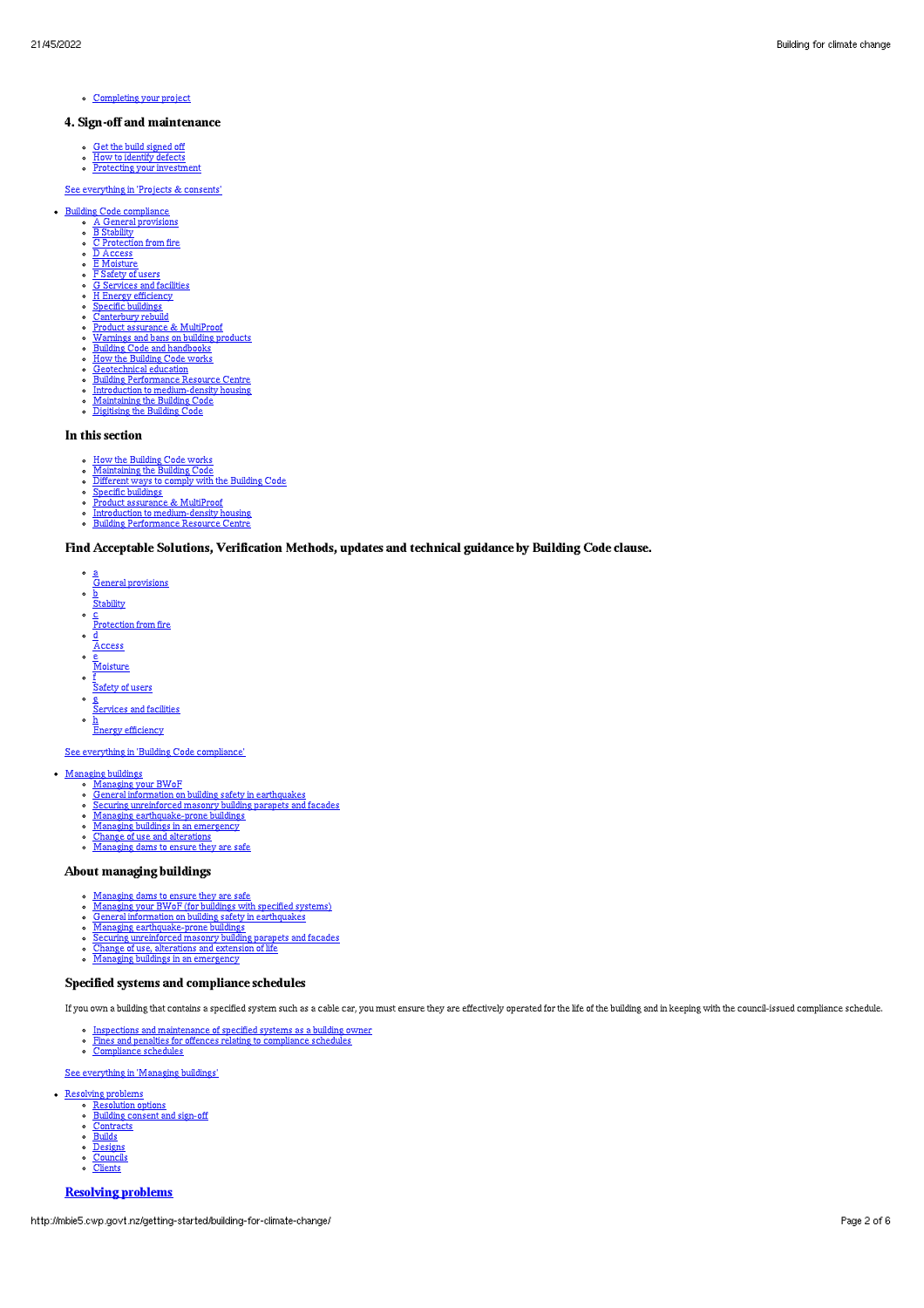[Completing](http://mbie5.cwp.govt.nz/projects-and-consents/sign-off-and-maintenance/completing-your-project/) your project

### 4. Sign-off and maintenance

- 
- Get the build [signed](http://mbie5.cwp.govt.nz/projects-and-consents/sign-off-and-maintenance/completing-your-project/get-the-build-signed-off/) off How to [identify](http://mbie5.cwp.govt.nz/projects-and-consents/sign-off-and-maintenance/completing-your-project/how-to-identify-defects/) defects Protecting your [investment](http://mbie5.cwp.govt.nz/projects-and-consents/sign-off-and-maintenance/protecting-your-investment/)

### See [everything](http://mbie5.cwp.govt.nz/projects-and-consents/) in 'Projects & consents'

- Building Code [compliance](http://mbie5.cwp.govt.nz/building-code-compliance/)
	- A General [provisions](http://mbie5.cwp.govt.nz/building-code-compliance/a-general-provisions/) B [Stability](http://mbie5.cwp.govt.nz/building-code-compliance/b-stability/)
	- <u>C [Protection](http://mbie5.cwp.govt.nz/building-code-compliance/c-protection-from-fire/) from fire</u><br>D [Access](http://mbie5.cwp.govt.nz/building-code-compliance/d-access/)
	- $\circ$  F [Moisture](http://mbie5.cwp.govt.nz/building-code-compliance/e-moisture/)
	-
	- <u>F [Safety](http://mbie5.cwp.govt.nz/building-code-compliance/f-safety-of-users/) of users</u><br><u>G [Services](http://mbie5.cwp.govt.nz/building-code-compliance/g-services-and-facilities/) and facilities</u>
	- H Energy [efficiency](http://mbie5.cwp.govt.nz/building-code-compliance/h-energy-efficiency/) Specific [buildings](http://mbie5.cwp.govt.nz/building-code-compliance/specific-buildings/)
	-
	-
	- [Canterbury](http://mbie5.cwp.govt.nz/building-code-compliance/canterbury-rebuild/) rebuild Product [assurance](http://mbie5.cwp.govt.nz/building-code-compliance/product-assurance-and-multiproof/) & MultiProof [Warnings](http://mbie5.cwp.govt.nz/building-code-compliance/warnings-and-bans-on-building-products/) and bans on building products Building Code and [handbooks](http://mbie5.cwp.govt.nz/building-code-compliance/building-code-and-handbooks/) How the [Building](http://mbie5.cwp.govt.nz/building-code-compliance/how-the-building-code-works/) Code works
	-
	- $\circ$
	- [Geotechnical](http://mbie5.cwp.govt.nz/building-code-compliance/geotechnical-education/) education Building [Performance](http://mbie5.cwp.govt.nz/building-code-compliance/building-performance-resource-centre/) Resource Centre Introduction to [medium-density](http://mbie5.cwp.govt.nz/building-code-compliance/introduction-to-medium-density-housing/) housing [Maintaining](http://mbie5.cwp.govt.nz/building-code-compliance/annual-building-code-updates/) the Building Code [Digitising](http://mbie5.cwp.govt.nz/building-code-compliance/digitising-the-building-code/) the Building Code  $\circ$
	-
	- $\sim$

#### In this section

- How the [Building](http://mbie5.cwp.govt.nz/building-code-compliance/how-the-building-code-works/) Code works [Maintaining](http://mbie5.cwp.govt.nz/building-code-compliance/annual-building-code-updates/) the Building Code
- $\circ$ [Different](http://mbie5.cwp.govt.nz/building-code-compliance/how-the-building-code-works/different-ways-to-comply/) ways to comply with the Building Code Specific [buildings](http://mbie5.cwp.govt.nz/building-code-compliance/specific-buildings/) Product [assurance](http://mbie5.cwp.govt.nz/building-code-compliance/product-assurance-and-multiproof/) & MultiProof
- 
- 
- Introduction to [medium-density](http://mbie5.cwp.govt.nz/building-code-compliance/introduction-to-medium-density-housing/) housing Building [Performance](http://mbie5.cwp.govt.nz/building-code-compliance/building-performance-resource-centre/) Resource Centre

#### Find Acceptable Solutions, Verification Methods, updates and technical guidance by Building Code clause.

- a<br>General provisions  $\circ$
- <u>b</u><br>Stability
- $\circ$ c
- Protection from fire
- $\circ$   $\frac{d}{d}$
- $\frac{\overline{A} \text{ccess}}{e}$
- **Moisture**  $\circ$   $\overline{f}$
- Safety of users
- $\circ$   $g$ Services and facilities
- h Energy efficiency

See everything in 'Building Code [compliance'](http://mbie5.cwp.govt.nz/building-code-compliance/)

- -
- [Managing](http://mbie5.cwp.govt.nz/managing-buildings/dam-safety/) buildings<br>
Managing your BWoF<br>
General information on building safety in [earthquakes](http://mbie5.cwp.govt.nz/managing-buildings/building-safety-in-earthquakes/)<br>
Securing [unreinforced](http://mbie5.cwp.govt.nz/managing-buildings/unreinforced-masonry/) masonry building parapets and facades<br>
Managing [earthquake-prone](http://mbie5.cwp.govt.nz/managing-buildings/managing-earthquake-prone-buildings/) buildings<br>
Managing buildings
	-
	-
	-

#### About managing buildings

- [Managing](http://mbie5.cwp.govt.nz/managing-buildings/managing-your-bwof/) dams to ensure they are safe<br>Managing your BWoF (for buildings with specified systems)
- General information on building safety in [earthquakes](http://mbie5.cwp.govt.nz/managing-buildings/building-safety-in-earthquakes/)  $\circ$
- $\ddot{\phantom{0}}$ Managing [earthquake-prone](http://mbie5.cwp.govt.nz/managing-buildings/managing-earthquake-prone-buildings/) buildings Securing [unreinforced](http://mbie5.cwp.govt.nz/managing-buildings/unreinforced-masonry/) masonry building parapets and facades
- 
- Change of use, [alterations](http://mbie5.cwp.govt.nz/managing-buildings/change-of-use-and-alterations/) and extension of life Managing buildings in an [emergency](http://mbie5.cwp.govt.nz/managing-buildings/managing-buildings-in-an-emergency/)

#### Specified systems and compliance schedules

If you own a building that contains a specified system such as a cable car, you must ensure they are effectively operated for the life of the building and in keeping with the council-issued compliance schedule.

- Inspections and [maintenance](http://mbie5.cwp.govt.nz/managing-buildings/managing-your-bwof/inspections-and-maintenance/) of specified systems as a building owner Fines and penalties for offences relating to [compliance](http://mbie5.cwp.govt.nz/managing-buildings/managing-your-bwof/fines-and-penalties/) schedules [Compliance](http://mbie5.cwp.govt.nz/projects-and-consents/sign-off-and-maintenance/completing-your-project/compliance-schedules/) schedules
- 

#### See [everything](http://mbie5.cwp.govt.nz/managing-buildings/) in 'Managing buildings'

[Resolving](http://mbie5.cwp.govt.nz/resolving-problems/) problems

- [Resolution](http://mbie5.cwp.govt.nz/resolving-problems/resolution-options/) options
- [Building](http://mbie5.cwp.govt.nz/resolving-problems/building-consent-and-sign-off/) consent and sign-off [Contracts](http://mbie5.cwp.govt.nz/resolving-problems/contracts/)
- $\circ$  [Builds](http://mbie5.cwp.govt.nz/resolving-problems/builds/)
- o [Designs](http://mbie5.cwp.govt.nz/resolving-problems/designs/)
- 
- [Councils](http://mbie5.cwp.govt.nz/resolving-problems/councils/)<br>[Clients](http://mbie5.cwp.govt.nz/resolving-problems/clients/)

#### [Resolving](http://mbie5.cwp.govt.nz/resolving-problems/) problems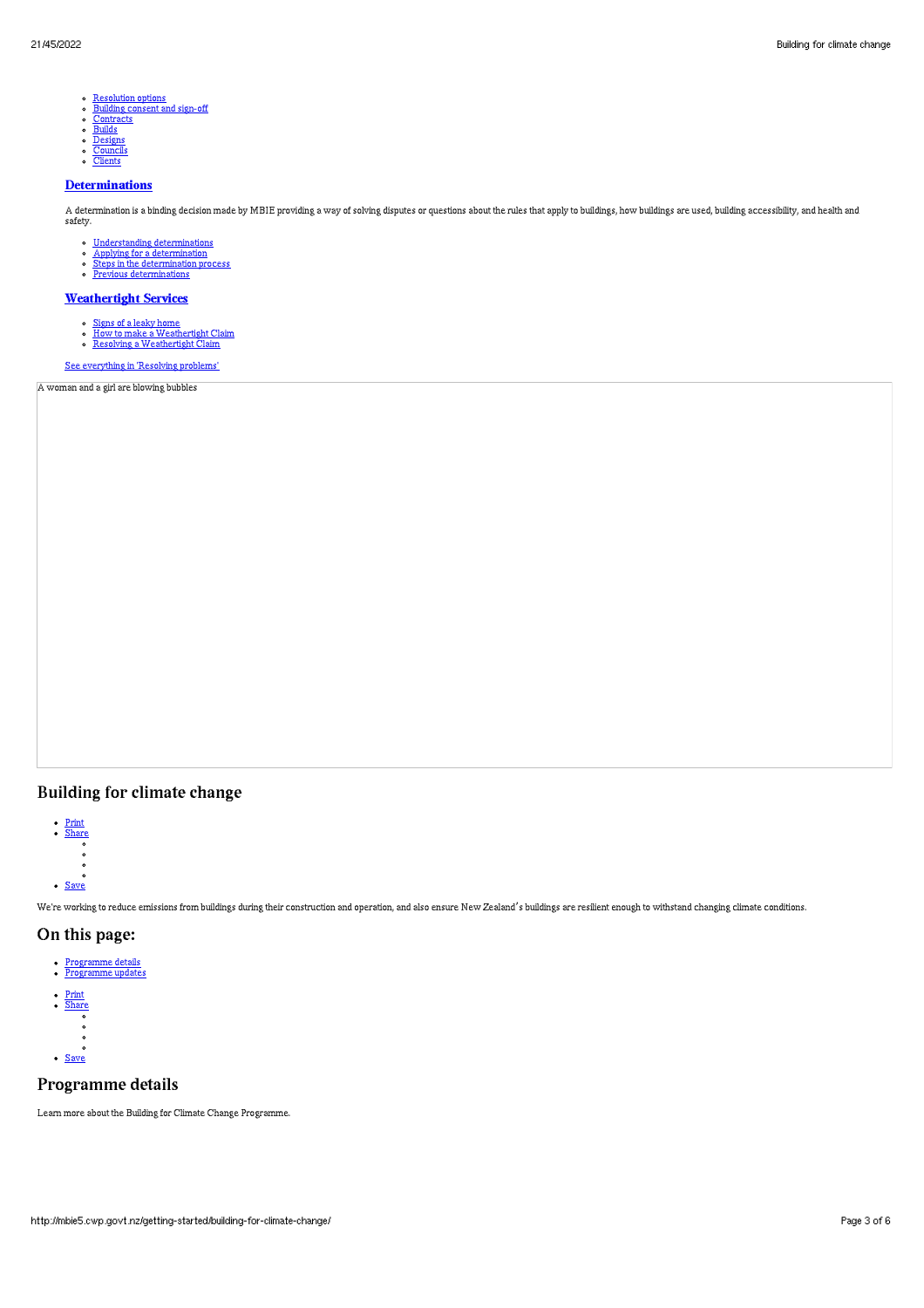- $\circ$ [Resolution](http://mbie5.cwp.govt.nz/resolving-problems/resolution-options/) options [Building](http://mbie5.cwp.govt.nz/resolving-problems/building-consent-and-sign-off/) consent and sign-off
- 
- $\circ$   $\circ$   $\circ$
- [Contracts](http://mbie5.cwp.govt.nz/resolving-problems/contracts/)<br>[Builds](http://mbie5.cwp.govt.nz/resolving-problems/builds/)<br>[Designs](http://mbie5.cwp.govt.nz/resolving-problems/designs/)
- [Councils](http://mbie5.cwp.govt.nz/resolving-problems/councils/) ients

#### **[Determinations](http://mbie5.cwp.govt.nz/resolving-problems/resolution-options/determinations/)**

A determination is a binding decision made by MBIE providing a way of solving disputes or questions about the rules that apply to buildings, how buildings are used, building accessibility, and health and safety.

- 
- 
- [Understanding](http://mbie5.cwp.govt.nz/resolving-problems/resolution-options/determinations/) determinations Applying for a [determination](http://mbie5.cwp.govt.nz/resolving-problems/resolution-options/determinations/applying-for-a-determination/) Steps in the [determination](http://mbie5.cwp.govt.nz/resolving-problems/resolution-options/determinations/steps-in-the-determination-process/) process Previous [determinations](http://mbie5.cwp.govt.nz/resolving-problems/resolution-options/determinations/determinations-issued/)
- 

## **[Weathertight](http://mbie5.cwp.govt.nz/resolving-problems/resolution-options/weathertight-services/) Services**

- 
- <u>[Signs](http://mbie5.cwp.govt.nz/resolving-problems/resolution-options/weathertight-services/signs-of-a-leaky-home/) of a leaky home</u><br>How to make a [Weathertight](http://mbie5.cwp.govt.nz/resolving-problems/resolution-options/weathertight-services/resolving-a-claim/) Claim<br>Resolving a Weathertight Claim
- 

See [everything](http://mbie5.cwp.govt.nz/resolving-problems/) in 'Resolving problems'

A woman and a girl are blowing bubbles

# Building for climate change



We're working to reduce emissions from buildings during their construction and operation, and also ensure New Zealand's buildings are resilient enough to withstand changing climate conditions.

# On this page:

- [Programme](http://mbie5.cwp.govt.nz/#jumpto-programme-details) details [Programme](http://mbie5.cwp.govt.nz/#jumpto-programme-updates) updates
- [Print](http://mbie5.cwp.govt.nz/#) [Share](http://mbie5.cwp.govt.nz/#) • [Save](http://mbie5.cwp.govt.nz/getting-started/building-for-climate-change/downloadpdf)

### Programme details

Learn more about the Building for Climate Change Programme.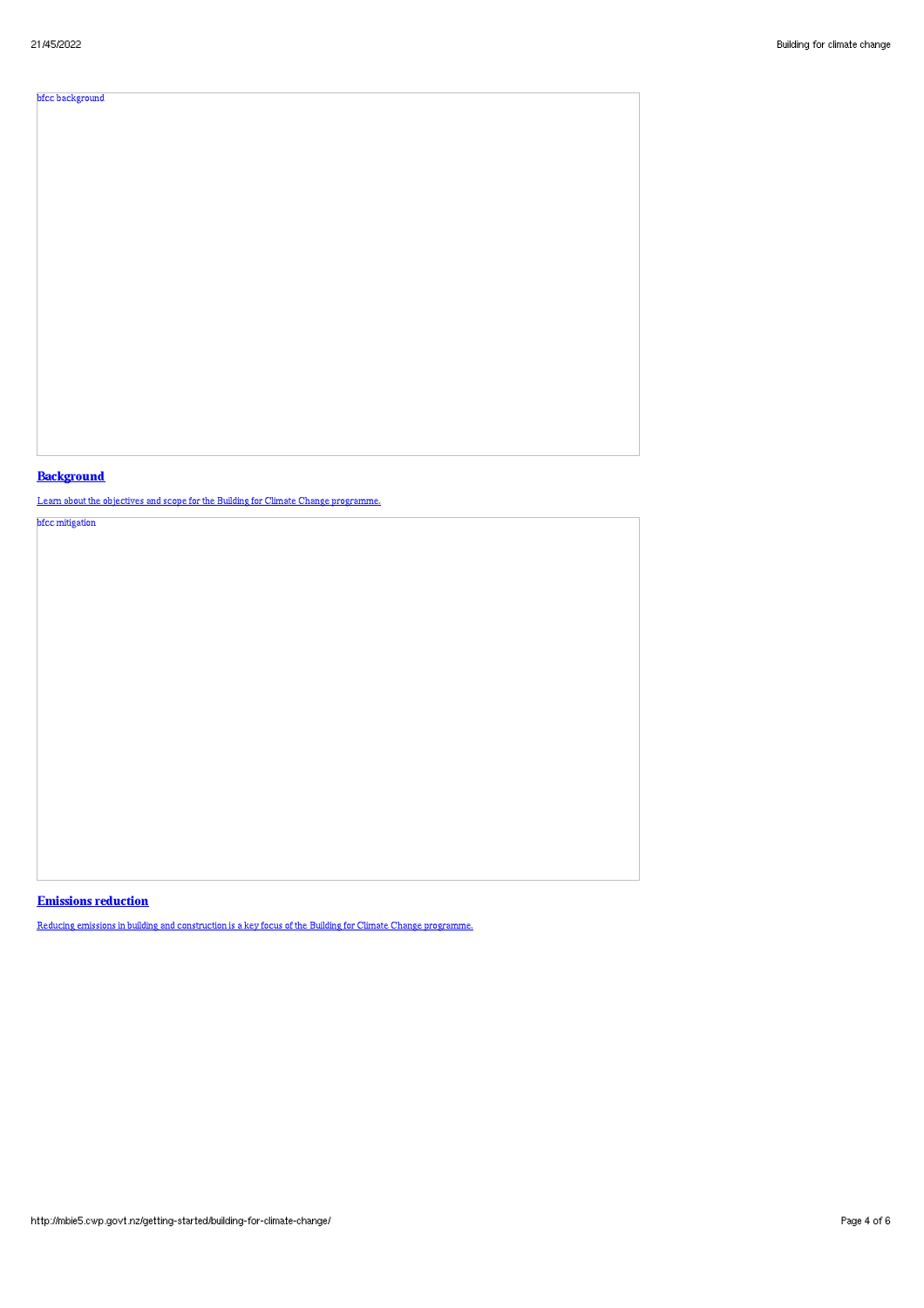# bfcc background

# **Background**

Learn about the objectives and scope for the Building for Climate Change programme.

bfcc mitigation

# Emissions reduction

Reducing emissions in building and construction is a key focus of the Building for Climate Change programme.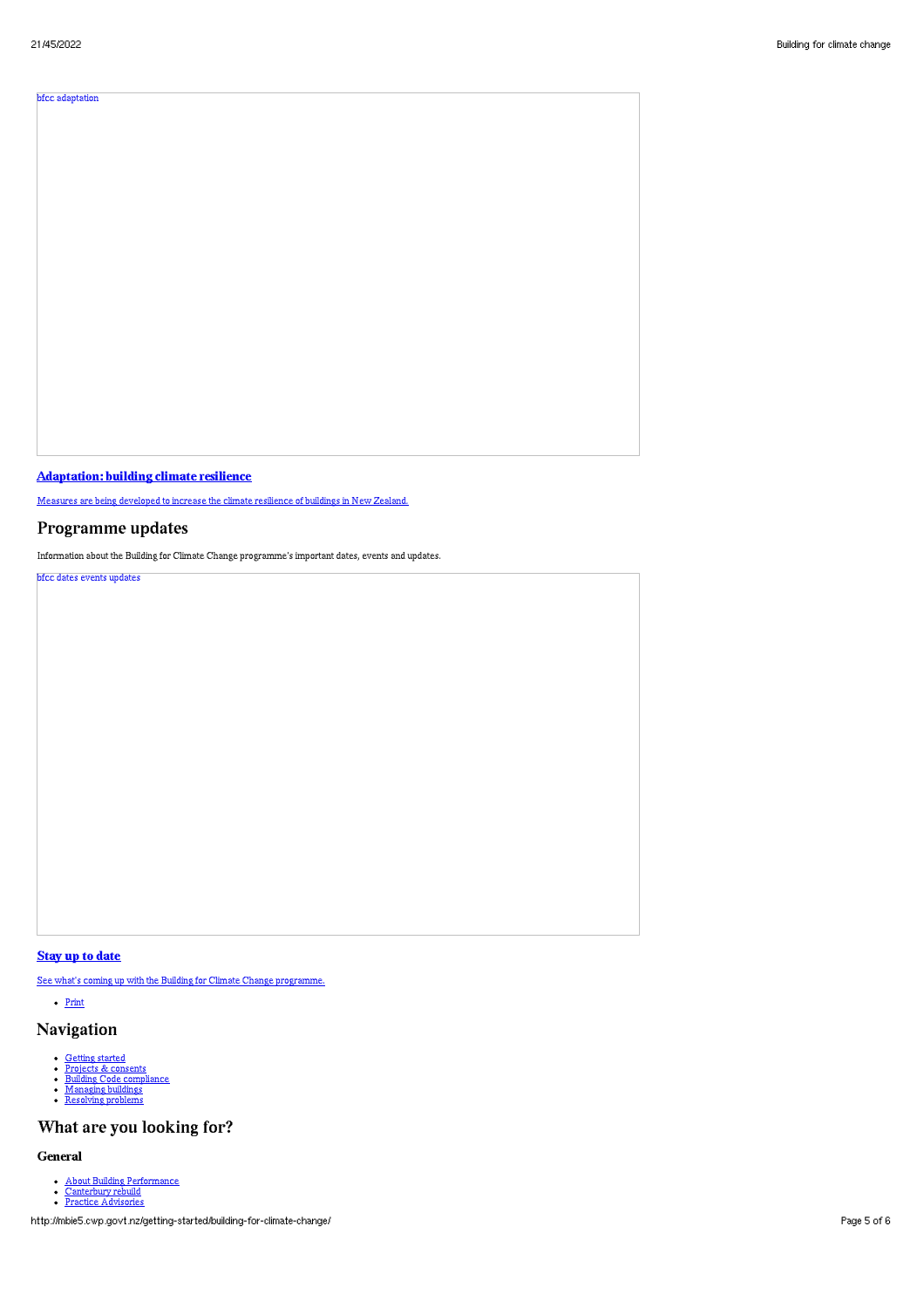# bfcc adaptation

Adaptation: building climate resilience

Measures are being developed to increase the climate resilience of buildings in New Zealand.

# Programme updates

Information about the Building for Climate Change programme's important dates, events and updates.

bfcc dates events updates

# Stay up to date

See what's coming up with the Building for Climate Change programme.

• [Print](http://mbie5.cwp.govt.nz/#)

# Navigation

- $\ddot{\cdot}$
- [Getting](http://mbie5.cwp.govt.nz/getting-started/) started Projects & [consents](http://mbie5.cwp.govt.nz/projects-and-consents/) Building Code [compliance](http://mbie5.cwp.govt.nz/building-code-compliance/) [Managing](http://mbie5.cwp.govt.nz/managing-buildings/) buildings [Resolving](http://mbie5.cwp.govt.nz/resolving-problems/) problems  $\bullet$
- $\ddot{\cdot}$

# What are you looking for?

#### General

- About Building [Performance](http://mbie5.cwp.govt.nz/about-building-performance/) [Canterbury](http://mbie5.cwp.govt.nz/building-code-compliance/canterbury-rebuild/) rebuild Practice [Advisories](http://mbie5.cwp.govt.nz/search/?keyword=practice+advisory&search=)
- 

http://mbie5.cwp.govt.nz/getting-started/building-for-climate-change/ Page 5 of 6